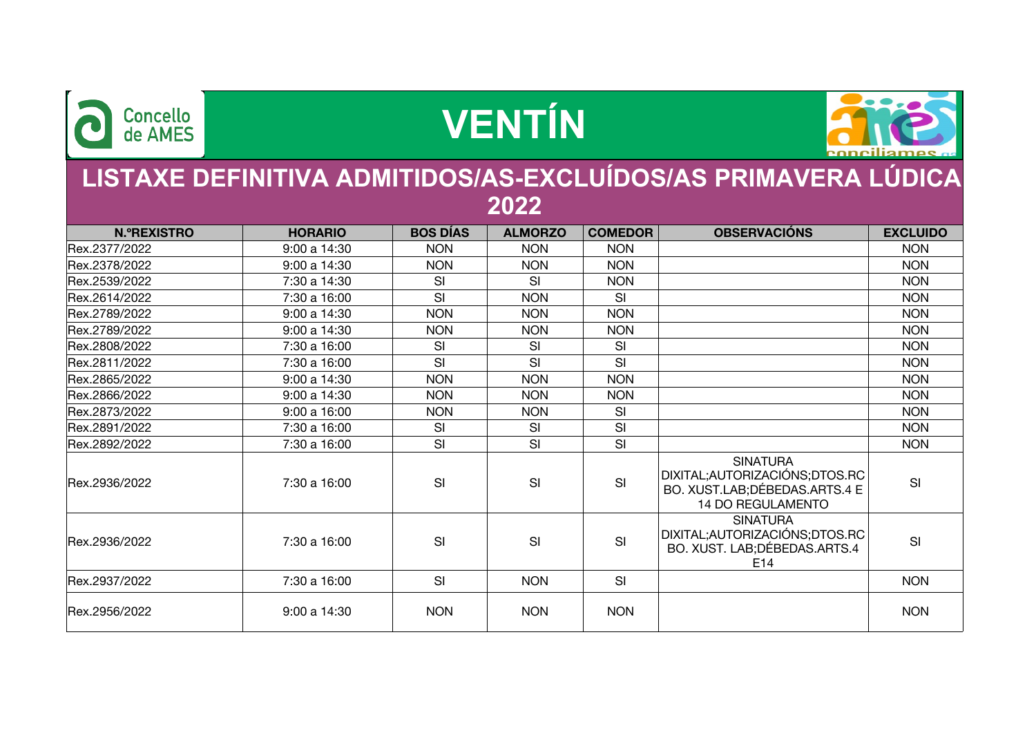

## **VENTÍN**



## **LISTAXE DEFINITIVA ADMITIDOS/AS-EXCLUÍDOS/AS PRIMAVERA LÚDICA 2022**

| <b>N.ºREXISTRO</b> | <b>HORARIO</b> | <b>BOS DÍAS</b> | <b>ALMORZO</b> | <b>COMEDOR</b> | <b>OBSERVACIÓNS</b>                                                                                              | <b>EXCLUIDO</b> |
|--------------------|----------------|-----------------|----------------|----------------|------------------------------------------------------------------------------------------------------------------|-----------------|
| Rex.2377/2022      | 9:00 a 14:30   | <b>NON</b>      | <b>NON</b>     | <b>NON</b>     |                                                                                                                  | <b>NON</b>      |
| Rex.2378/2022      | 9:00 a 14:30   | <b>NON</b>      | <b>NON</b>     | <b>NON</b>     |                                                                                                                  | <b>NON</b>      |
| Rex.2539/2022      | 7:30 a 14:30   | SI              | SI             | <b>NON</b>     |                                                                                                                  | <b>NON</b>      |
| Rex.2614/2022      | 7:30 a 16:00   | SI              | <b>NON</b>     | SI             |                                                                                                                  | <b>NON</b>      |
| Rex.2789/2022      | 9:00 a 14:30   | <b>NON</b>      | <b>NON</b>     | <b>NON</b>     |                                                                                                                  | <b>NON</b>      |
| Rex.2789/2022      | 9:00 a 14:30   | <b>NON</b>      | <b>NON</b>     | <b>NON</b>     |                                                                                                                  | <b>NON</b>      |
| Rex.2808/2022      | 7:30 a 16:00   | SI              | SI             | SI             |                                                                                                                  | <b>NON</b>      |
| Rex.2811/2022      | 7:30 a 16:00   | SI              | SI             | SI             |                                                                                                                  | <b>NON</b>      |
| Rex.2865/2022      | 9:00 a 14:30   | <b>NON</b>      | <b>NON</b>     | <b>NON</b>     |                                                                                                                  | <b>NON</b>      |
| Rex.2866/2022      | 9:00 a 14:30   | <b>NON</b>      | <b>NON</b>     | <b>NON</b>     |                                                                                                                  | <b>NON</b>      |
| Rex.2873/2022      | 9:00a16:00     | <b>NON</b>      | <b>NON</b>     | SI             |                                                                                                                  | <b>NON</b>      |
| Rex.2891/2022      | 7:30 a 16:00   | SI              | SI             | SI             |                                                                                                                  | <b>NON</b>      |
| Rex.2892/2022      | 7:30 a 16:00   | SI              | SI             | SI             |                                                                                                                  | <b>NON</b>      |
| Rex.2936/2022      | 7:30 a 16:00   | SI              | SI             | SI             | <b>SINATURA</b><br>DIXITAL; AUTORIZACIÓNS; DTOS.RC<br>BO. XUST.LAB; DÉBEDAS.ARTS.4 E<br><b>14 DO REGULAMENTO</b> | SI              |
| Rex.2936/2022      | 7:30 a 16:00   | SI              | SI             | SI             | <b>SINATURA</b><br>DIXITAL; AUTORIZACIÓNS; DTOS.RC<br>BO. XUST. LAB; DÉBEDAS. ARTS. 4<br>E14                     | SI              |
| Rex.2937/2022      | 7:30 a 16:00   | SI              | <b>NON</b>     | SI             |                                                                                                                  | <b>NON</b>      |
| Rex.2956/2022      | 9:00 a 14:30   | <b>NON</b>      | <b>NON</b>     | <b>NON</b>     |                                                                                                                  | <b>NON</b>      |